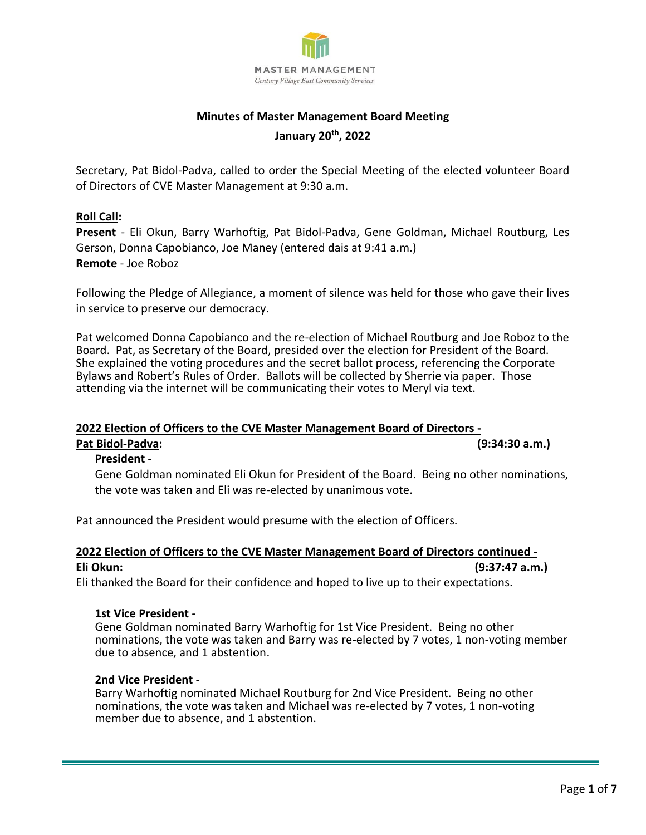

# **Minutes of Master Management Board Meeting January 20th, 2022**

Secretary, Pat Bidol-Padva, called to order the Special Meeting of the elected volunteer Board of Directors of CVE Master Management at 9:30 a.m.

### **Roll Call:**

**Present** - Eli Okun, Barry Warhoftig, Pat Bidol-Padva, Gene Goldman, Michael Routburg, Les Gerson, Donna Capobianco, Joe Maney (entered dais at 9:41 a.m.) **Remote** - Joe Roboz

Following the Pledge of Allegiance, a moment of silence was held for those who gave their lives in service to preserve our democracy.

Pat welcomed Donna Capobianco and the re-election of Michael Routburg and Joe Roboz to the Board. Pat, as Secretary of the Board, presided over the election for President of the Board. She explained the voting procedures and the secret ballot process, referencing the Corporate Bylaws and Robert's Rules of Order. Ballots will be collected by Sherrie via paper. Those attending via the internet will be communicating their votes to Meryl via text.

#### **2022 Election of Officers to the CVE Master Management Board of Directors - Pat Bidol-Padva: (9:34:30 a.m.)**

# **President -**

Gene Goldman nominated Eli Okun for President of the Board. Being no other nominations, the vote was taken and Eli was re-elected by unanimous vote.

Pat announced the President would presume with the election of Officers.

# **2022 Election of Officers to the CVE Master Management Board of Directors continued - Eli Okun: (9:37:47 a.m.)**

Eli thanked the Board for their confidence and hoped to live up to their expectations.

### **1st Vice President -**

Gene Goldman nominated Barry Warhoftig for 1st Vice President. Being no other nominations, the vote was taken and Barry was re-elected by 7 votes, 1 non-voting member due to absence, and 1 abstention.

### **2nd Vice President -**

Barry Warhoftig nominated Michael Routburg for 2nd Vice President. Being no other nominations, the vote was taken and Michael was re-elected by 7 votes, 1 non-voting member due to absence, and 1 abstention.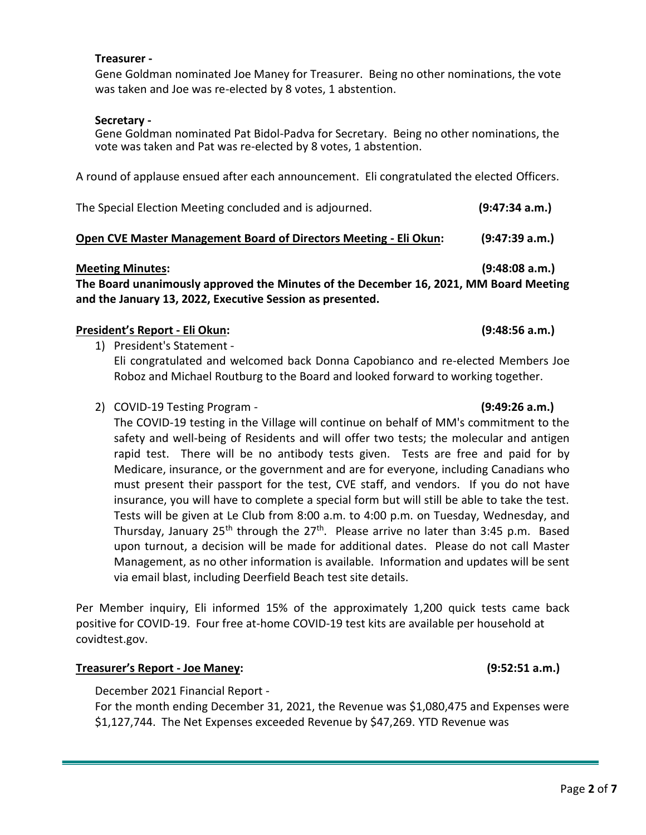#### **Treasurer -**

Gene Goldman nominated Joe Maney for Treasurer. Being no other nominations, the vote was taken and Joe was re-elected by 8 votes, 1 abstention.

#### **Secretary -**

Gene Goldman nominated Pat Bidol-Padva for Secretary. Being no other nominations, the vote was taken and Pat was re-elected by 8 votes, 1 abstention.

A round of applause ensued after each announcement. Eli congratulated the elected Officers.

| The Special Election Meeting concluded and is adjourned. | (9:47:34 a.m.) |
|----------------------------------------------------------|----------------|
|                                                          |                |

# **Open CVE Master Management Board of Directors Meeting - Eli Okun: (9:47:39 a.m.)**

#### **Meeting Minutes: (9:48:08 a.m.)**

**The Board unanimously approved the Minutes of the December 16, 2021, MM Board Meeting and the January 13, 2022, Executive Session as presented.**

### **President's Report - Eli Okun: (9:48:56 a.m.)**

- 1) President's Statement Eli congratulated and welcomed back Donna Capobianco and re-elected Members Joe Roboz and Michael Routburg to the Board and looked forward to working together.
- 2) COVID-19 Testing Program **(9:49:26 a.m.)**

The COVID-19 testing in the Village will continue on behalf of MM's commitment to the safety and well-being of Residents and will offer two tests; the molecular and antigen rapid test. There will be no antibody tests given. Tests are free and paid for by Medicare, insurance, or the government and are for everyone, including Canadians who must present their passport for the test, CVE staff, and vendors. If you do not have insurance, you will have to complete a special form but will still be able to take the test. Tests will be given at Le Club from 8:00 a.m. to 4:00 p.m. on Tuesday, Wednesday, and Thursday, January 25<sup>th</sup> through the 27<sup>th</sup>. Please arrive no later than 3:45 p.m. Based upon turnout, a decision will be made for additional dates. Please do not call Master Management, as no other information is available. Information and updates will be sent via email blast, including Deerfield Beach test site details.

Per Member inquiry, Eli informed 15% of the approximately 1,200 quick tests came back positive for COVID-19. Four free at-home COVID-19 test kits are available per household at covidtest.gov.

### **Treasurer's Report - Joe Maney: (9:52:51 a.m.)**

December 2021 Financial Report -

For the month ending December 31, 2021, the Revenue was \$1,080,475 and Expenses were \$1,127,744. The Net Expenses exceeded Revenue by \$47,269. YTD Revenue was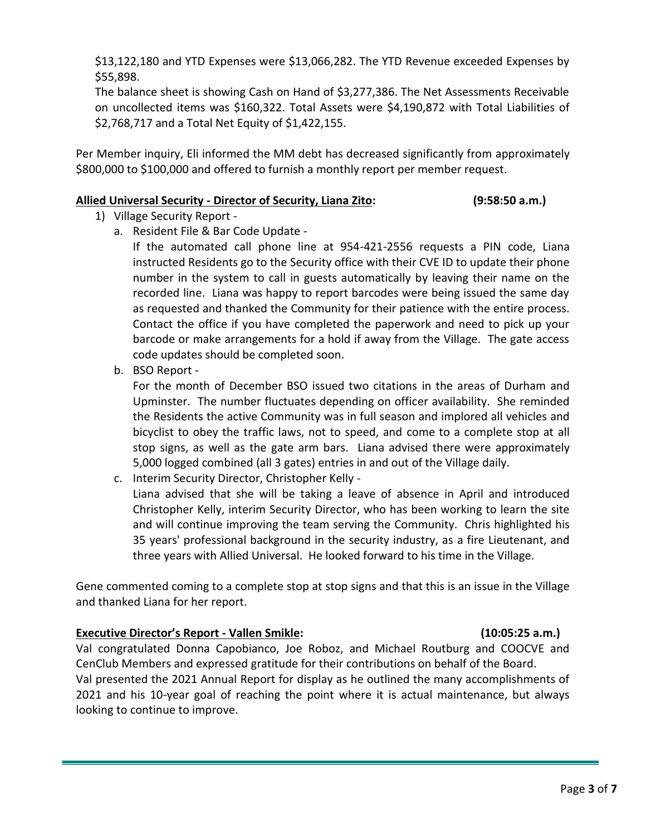\$13,122,180 and YTD Expenses were \$13,066,282. The YTD Revenue exceeded Expenses by \$55,898.

The balance sheet is showing Cash on Hand of \$3,277,386. The Net Assessments Receivable on uncollected items was \$160,322. Total Assets were \$4,190,872 with Total Liabilities of \$2,768,717 and a Total Net Equity of \$1,422,155.

Per Member inquiry, Eli informed the MM debt has decreased significantly from approximately \$800,000 to \$100,000 and offered to furnish a monthly report per member request.

# **Allied Universal Security - Director of Security, Liana Zito: (9:58:50 a.m.)**

- 1) Village Security Report
	- a. Resident File & Bar Code Update -

If the automated call phone line at 954-421-2556 requests a PIN code, Liana instructed Residents go to the Security office with their CVE ID to update their phone number in the system to call in guests automatically by leaving their name on the recorded line. Liana was happy to report barcodes were being issued the same day as requested and thanked the Community for their patience with the entire process. Contact the office if you have completed the paperwork and need to pick up your barcode or make arrangements for a hold if away from the Village. The gate access code updates should be completed soon.

b. BSO Report -

For the month of December BSO issued two citations in the areas of Durham and Upminster. The number fluctuates depending on officer availability. She reminded the Residents the active Community was in full season and implored all vehicles and bicyclist to obey the traffic laws, not to speed, and come to a complete stop at all stop signs, as well as the gate arm bars. Liana advised there were approximately 5,000 logged combined (all 3 gates) entries in and out of the Village daily.

c. Interim Security Director, Christopher Kelly -

Liana advised that she will be taking a leave of absence in April and introduced Christopher Kelly, interim Security Director, who has been working to learn the site and will continue improving the team serving the Community. Chris highlighted his 35 years' professional background in the security industry, as a fire Lieutenant, and three years with Allied Universal. He looked forward to his time in the Village.

Gene commented coming to a complete stop at stop signs and that this is an issue in the Village and thanked Liana for her report.

### **Executive Director's Report - Vallen Smikle: (10:05:25 a.m.)**

Val congratulated Donna Capobianco, Joe Roboz, and Michael Routburg and COOCVE and CenClub Members and expressed gratitude for their contributions on behalf of the Board. Val presented the 2021 Annual Report for display as he outlined the many accomplishments of 2021 and his 10-year goal of reaching the point where it is actual maintenance, but always looking to continue to improve.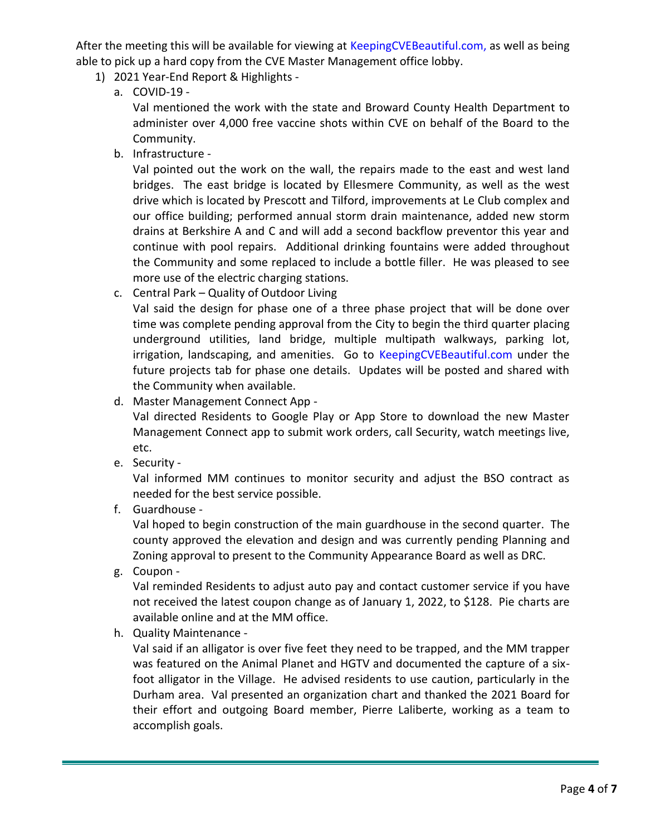After the meeting this will be available for viewing at KeepingCVEBeautiful.com, as well as being able to pick up a hard copy from the CVE Master Management office lobby.

- 1) 2021 Year-End Report & Highlights
	- a. COVID-19 -

Val mentioned the work with the state and Broward County Health Department to administer over 4,000 free vaccine shots within CVE on behalf of the Board to the Community.

b. Infrastructure -

Val pointed out the work on the wall, the repairs made to the east and west land bridges. The east bridge is located by Ellesmere Community, as well as the west drive which is located by Prescott and Tilford, improvements at Le Club complex and our office building; performed annual storm drain maintenance, added new storm drains at Berkshire A and C and will add a second backflow preventor this year and continue with pool repairs. Additional drinking fountains were added throughout the Community and some replaced to include a bottle filler. He was pleased to see more use of the electric charging stations.

c. Central Park – Quality of Outdoor Living

Val said the design for phase one of a three phase project that will be done over time was complete pending approval from the City to begin the third quarter placing underground utilities, land bridge, multiple multipath walkways, parking lot, irrigation, landscaping, and amenities. Go to KeepingCVEBeautiful.com under the future projects tab for phase one details. Updates will be posted and shared with the Community when available.

d. Master Management Connect App -

Val directed Residents to Google Play or App Store to download the new Master Management Connect app to submit work orders, call Security, watch meetings live, etc.

e. Security -

Val informed MM continues to monitor security and adjust the BSO contract as needed for the best service possible.

f. Guardhouse -

Val hoped to begin construction of the main guardhouse in the second quarter. The county approved the elevation and design and was currently pending Planning and Zoning approval to present to the Community Appearance Board as well as DRC.

g. Coupon -

Val reminded Residents to adjust auto pay and contact customer service if you have not received the latest coupon change as of January 1, 2022, to \$128. Pie charts are available online and at the MM office.

h. Quality Maintenance -

Val said if an alligator is over five feet they need to be trapped, and the MM trapper was featured on the Animal Planet and HGTV and documented the capture of a sixfoot alligator in the Village. He advised residents to use caution, particularly in the Durham area. Val presented an organization chart and thanked the 2021 Board for their effort and outgoing Board member, Pierre Laliberte, working as a team to accomplish goals.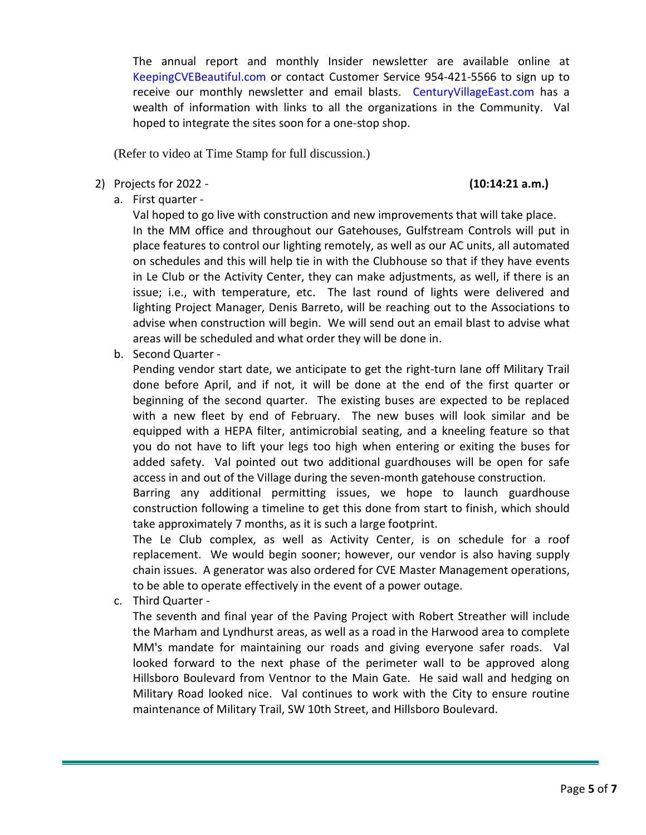The annual report and monthly Insider newsletter are available online at KeepingCVEBeautiful.com or contact Customer Service 954-421-5566 to sign up to receive our monthly newsletter and email blasts. CenturyVillageEast.com has a wealth of information with links to all the organizations in the Community. Val hoped to integrate the sites soon for a one-stop shop.

(Refer to video at Time Stamp for full discussion.)

2) Projects for 2022 - **(10:14:21 a.m.)**

a. First quarter -

Val hoped to go live with construction and new improvements that will take place. In the MM office and throughout our Gatehouses, Gulfstream Controls will put in place features to control our lighting remotely, as well as our AC units, all automated on schedules and this will help tie in with the Clubhouse so that if they have events in Le Club or the Activity Center, they can make adjustments, as well, if there is an issue; i.e., with temperature, etc. The last round of lights were delivered and lighting Project Manager, Denis Barreto, will be reaching out to the Associations to advise when construction will begin. We will send out an email blast to advise what areas will be scheduled and what order they will be done in.

b. Second Quarter -

Pending vendor start date, we anticipate to get the right-turn lane off Military Trail done before April, and if not, it will be done at the end of the first quarter or beginning of the second quarter. The existing buses are expected to be replaced with a new fleet by end of February. The new buses will look similar and be equipped with a HEPA filter, antimicrobial seating, and a kneeling feature so that you do not have to lift your legs too high when entering or exiting the buses for added safety. Val pointed out two additional guardhouses will be open for safe access in and out of the Village during the seven-month gatehouse construction.

Barring any additional permitting issues, we hope to launch guardhouse construction following a timeline to get this done from start to finish, which should take approximately 7 months, as it is such a large footprint.

The Le Club complex, as well as Activity Center, is on schedule for a roof replacement. We would begin sooner; however, our vendor is also having supply chain issues. A generator was also ordered for CVE Master Management operations, to be able to operate effectively in the event of a power outage.

c. Third Quarter -

The seventh and final year of the Paving Project with Robert Streather will include the Marham and Lyndhurst areas, as well as a road in the Harwood area to complete MM's mandate for maintaining our roads and giving everyone safer roads. Val looked forward to the next phase of the perimeter wall to be approved along Hillsboro Boulevard from Ventnor to the Main Gate. He said wall and hedging on Military Road looked nice. Val continues to work with the City to ensure routine maintenance of Military Trail, SW 10th Street, and Hillsboro Boulevard.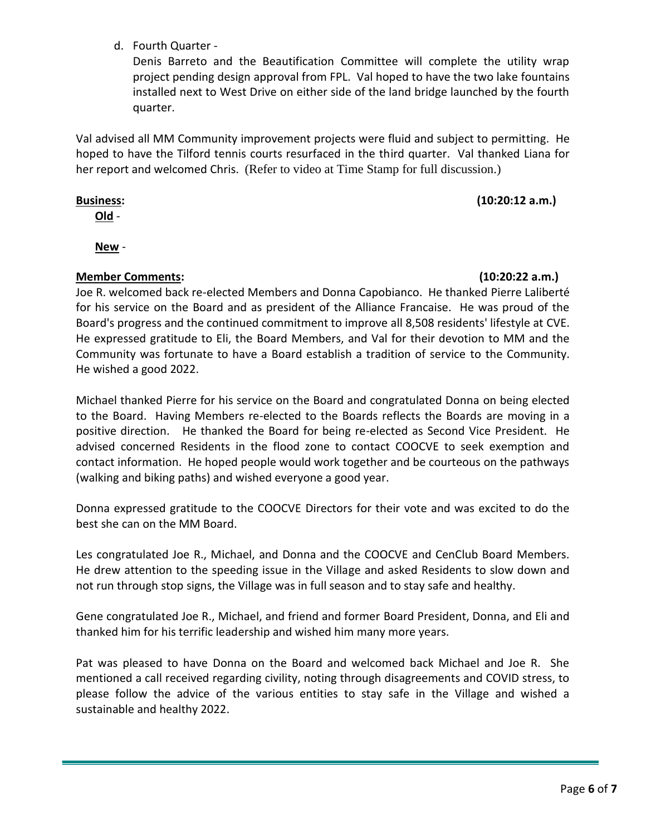d. Fourth Quarter -

Denis Barreto and the Beautification Committee will complete the utility wrap project pending design approval from FPL. Val hoped to have the two lake fountains installed next to West Drive on either side of the land bridge launched by the fourth quarter.

Val advised all MM Community improvement projects were fluid and subject to permitting. He hoped to have the Tilford tennis courts resurfaced in the third quarter. Val thanked Liana for her report and welcomed Chris. (Refer to video at Time Stamp for full discussion.)

# **Business: (10:20:12 a.m.)**

**Old** -

**New** -

# **Member Comments: (10:20:22 a.m.)**

Joe R. welcomed back re-elected Members and Donna Capobianco. He thanked Pierre Laliberté for his service on the Board and as president of the Alliance Francaise. He was proud of the Board's progress and the continued commitment to improve all 8,508 residents' lifestyle at CVE. He expressed gratitude to Eli, the Board Members, and Val for their devotion to MM and the Community was fortunate to have a Board establish a tradition of service to the Community. He wished a good 2022.

Michael thanked Pierre for his service on the Board and congratulated Donna on being elected to the Board. Having Members re-elected to the Boards reflects the Boards are moving in a positive direction. He thanked the Board for being re-elected as Second Vice President. He advised concerned Residents in the flood zone to contact COOCVE to seek exemption and contact information. He hoped people would work together and be courteous on the pathways (walking and biking paths) and wished everyone a good year.

Donna expressed gratitude to the COOCVE Directors for their vote and was excited to do the best she can on the MM Board.

Les congratulated Joe R., Michael, and Donna and the COOCVE and CenClub Board Members. He drew attention to the speeding issue in the Village and asked Residents to slow down and not run through stop signs, the Village was in full season and to stay safe and healthy.

Gene congratulated Joe R., Michael, and friend and former Board President, Donna, and Eli and thanked him for his terrific leadership and wished him many more years.

Pat was pleased to have Donna on the Board and welcomed back Michael and Joe R. She mentioned a call received regarding civility, noting through disagreements and COVID stress, to please follow the advice of the various entities to stay safe in the Village and wished a sustainable and healthy 2022.